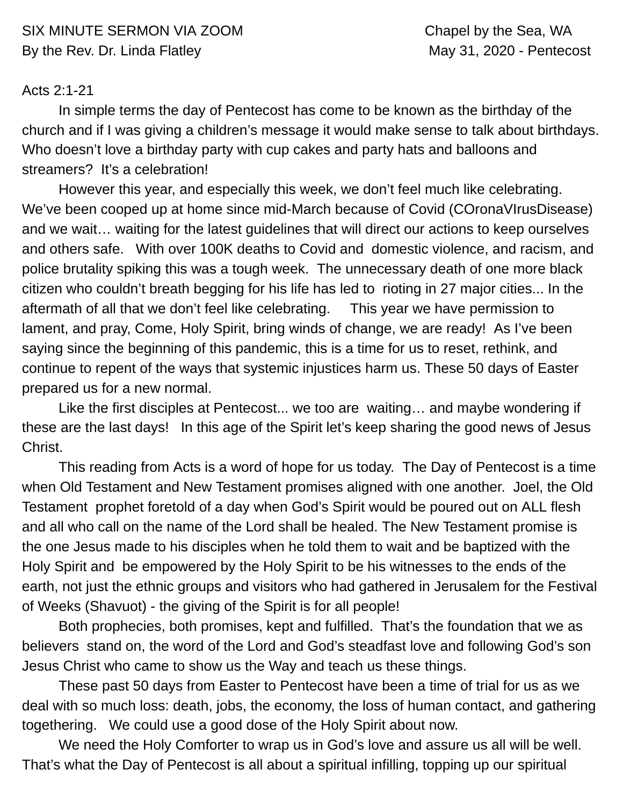## Acts 2:1-21

In simple terms the day of Pentecost has come to be known as the birthday of the church and if I was giving a children's message it would make sense to talk about birthdays. Who doesn't love a birthday party with cup cakes and party hats and balloons and streamers? It's a celebration!

However this year, and especially this week, we don't feel much like celebrating. We've been cooped up at home since mid-March because of Covid (COronaVIrusDisease) and we wait… waiting for the latest guidelines that will direct our actions to keep ourselves and others safe. With over 100K deaths to Covid and domestic violence, and racism, and police brutality spiking this was a tough week. The unnecessary death of one more black citizen who couldn't breath begging for his life has led to rioting in 27 major cities... In the aftermath of all that we don't feel like celebrating. This year we have permission to lament, and pray, Come, Holy Spirit, bring winds of change, we are ready! As I've been saying since the beginning of this pandemic, this is a time for us to reset, rethink, and continue to repent of the ways that systemic injustices harm us. These 50 days of Easter prepared us for a new normal.

Like the first disciples at Pentecost... we too are waiting… and maybe wondering if these are the last days! In this age of the Spirit let's keep sharing the good news of Jesus Christ.

This reading from Acts is a word of hope for us today. The Day of Pentecost is a time when Old Testament and New Testament promises aligned with one another. Joel, the Old Testament prophet foretold of a day when God's Spirit would be poured out on ALL flesh and all who call on the name of the Lord shall be healed. The New Testament promise is the one Jesus made to his disciples when he told them to wait and be baptized with the Holy Spirit and be empowered by the Holy Spirit to be his witnesses to the ends of the earth, not just the ethnic groups and visitors who had gathered in Jerusalem for the Festival of Weeks (Shavuot) - the giving of the Spirit is for all people!

Both prophecies, both promises, kept and fulfilled. That's the foundation that we as believers stand on, the word of the Lord and God's steadfast love and following God's son Jesus Christ who came to show us the Way and teach us these things.

These past 50 days from Easter to Pentecost have been a time of trial for us as we deal with so much loss: death, jobs, the economy, the loss of human contact, and gathering togethering. We could use a good dose of the Holy Spirit about now.

We need the Holy Comforter to wrap us in God's love and assure us all will be well. That's what the Day of Pentecost is all about a spiritual infilling, topping up our spiritual